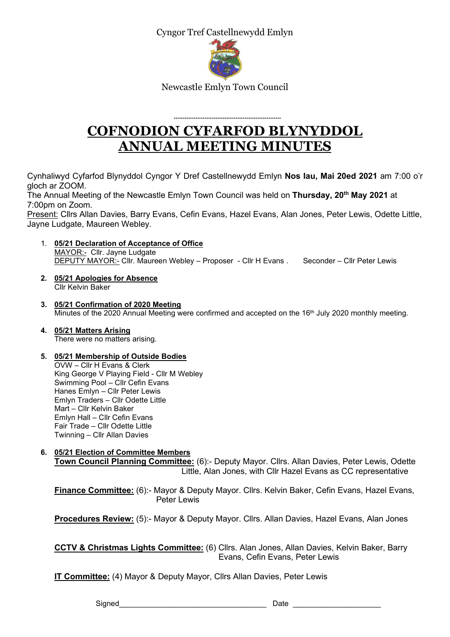Cyngor Tref Castellnewydd Emlyn



Newcastle Emlyn Town Council

# \*\*\*\*\*\*\*\*\*\*\*\*\*\*\*\*\*\*\*\*\*\*\*\*\*\*\*\*\*\*\*\*\*\*\*\*\*\*\*\*\*\*\*\*\*\*\*\*\*\*\*\*\*\*\*\*\*\*\* COFNODION CYFARFOD BLYNYDDOL ANNUAL MEETING MINUTES

Cynhaliwyd Cyfarfod Blynyddol Cyngor Y Dref Castellnewydd Emlyn Nos Iau, Mai 20ed 2021 am 7:00 o'r gloch ar ZOOM.

The Annual Meeting of the Newcastle Emlyn Town Council was held on Thursday, 20<sup>th</sup> May 2021 at 7:00pm on Zoom.

Present: Cllrs Allan Davies, Barry Evans, Cefin Evans, Hazel Evans, Alan Jones, Peter Lewis, Odette Little, Jayne Ludgate, Maureen Webley.

- 1. 05/21 Declaration of Acceptance of Office MAYOR:- Cllr. Jayne Ludgate DEPUTY MAYOR:- Cllr. Maureen Webley – Proposer - Cllr H Evans . Seconder – Cllr Peter Lewis
- 2. 05/21 Apologies for Absence Cllr Kelvin Baker
- 3. 05/21 Confirmation of 2020 Meeting Minutes of the 2020 Annual Meeting were confirmed and accepted on the 16<sup>th</sup> July 2020 monthly meeting.
- 4. 05/21 Matters Arising There were no matters arising.

# 5. 05/21 Membership of Outside Bodies

OVW – Cllr H Evans & Clerk King George V Playing Field - Cllr M Webley Swimming Pool – Cllr Cefin Evans Hanes Emlyn – Cllr Peter Lewis Emlyn Traders – Cllr Odette Little Mart – Cllr Kelvin Baker Emlyn Hall – Cllr Cefin Evans Fair Trade – Cllr Odette Little Twinning – Cllr Allan Davies

# 6. 05/21 Election of Committee Members

Town Council Planning Committee: (6):- Deputy Mayor. Cllrs. Allan Davies, Peter Lewis, Odette Little, Alan Jones, with Cllr Hazel Evans as CC representative

Finance Committee: (6):- Mayor & Deputy Mayor. Cllrs. Kelvin Baker, Cefin Evans, Hazel Evans, Peter Lewis

Procedures Review: (5):- Mayor & Deputy Mayor. Cllrs. Allan Davies, Hazel Evans, Alan Jones

CCTV & Christmas Lights Committee: (6) Cllrs. Alan Jones, Allan Davies, Kelvin Baker, Barry Evans, Cefin Evans, Peter Lewis

IT Committee: (4) Mayor & Deputy Mayor, Cllrs Allan Davies, Peter Lewis

Signed **Example 20** Signed **Date**  $\Box$